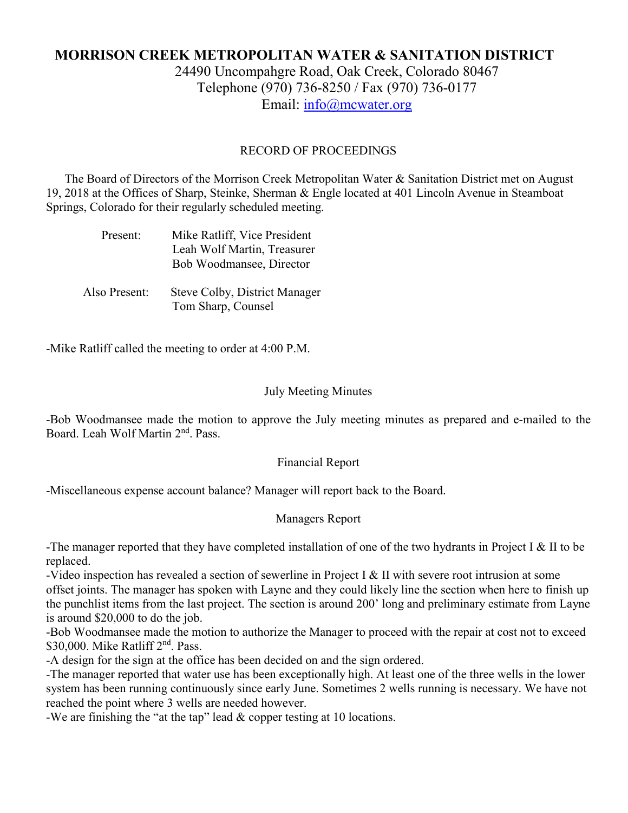# **MORRISON CREEK METROPOLITAN WATER & SANITATION DISTRICT**

24490 Uncompahgre Road, Oak Creek, Colorado 80467 Telephone (970) 736-8250 / Fax (970) 736-0177 Email: [info@mcwater.org](mailto:info@mcwater.org)

### RECORD OF PROCEEDINGS

 The Board of Directors of the Morrison Creek Metropolitan Water & Sanitation District met on August 19, 2018 at the Offices of Sharp, Steinke, Sherman & Engle located at 401 Lincoln Avenue in Steamboat Springs, Colorado for their regularly scheduled meeting.

| Present:      | Mike Ratliff, Vice President<br>Leah Wolf Martin, Treasurer<br>Bob Woodmansee, Director |
|---------------|-----------------------------------------------------------------------------------------|
| Also Present: | Steve Colby, District Manager<br>Tom Sharp, Counsel                                     |

-Mike Ratliff called the meeting to order at 4:00 P.M.

### July Meeting Minutes

-Bob Woodmansee made the motion to approve the July meeting minutes as prepared and e-mailed to the Board. Leah Wolf Martin 2nd. Pass.

#### Financial Report

-Miscellaneous expense account balance? Manager will report back to the Board.

## Managers Report

-The manager reported that they have completed installation of one of the two hydrants in Project I & II to be replaced.

-Video inspection has revealed a section of sewerline in Project I & II with severe root intrusion at some offset joints. The manager has spoken with Layne and they could likely line the section when here to finish up the punchlist items from the last project. The section is around 200' long and preliminary estimate from Layne is around \$20,000 to do the job.

-Bob Woodmansee made the motion to authorize the Manager to proceed with the repair at cost not to exceed \$30,000. Mike Ratliff 2<sup>nd</sup>. Pass.

-A design for the sign at the office has been decided on and the sign ordered.

-The manager reported that water use has been exceptionally high. At least one of the three wells in the lower system has been running continuously since early June. Sometimes 2 wells running is necessary. We have not reached the point where 3 wells are needed however.

-We are finishing the "at the tap" lead & copper testing at 10 locations.